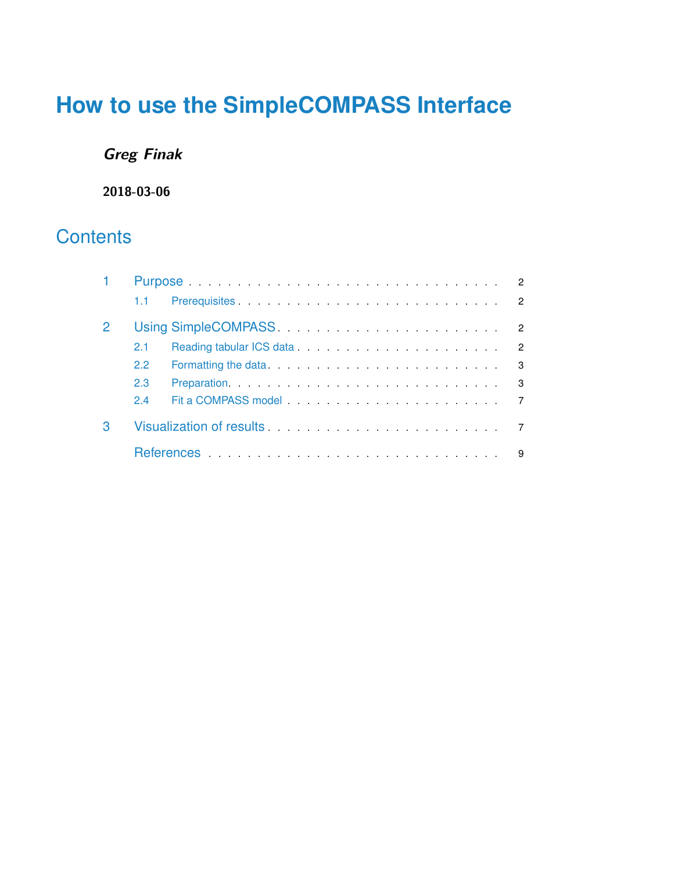# **How to use the SimpleCOMPASS Interface**

## **Greg Finak**

**2018-03-06**

# **Contents**

| $1.1 -$       |                                                                                                                |   |  |
|---------------|----------------------------------------------------------------------------------------------------------------|---|--|
|               |                                                                                                                |   |  |
| 2.1           |                                                                                                                | 2 |  |
| $2.2^{\circ}$ | Formatting the data. The matter of the data was a state of the data was a state of the data was a state of the | 3 |  |
| 2.3           |                                                                                                                | 3 |  |
| 2.4           |                                                                                                                |   |  |
|               |                                                                                                                |   |  |
|               |                                                                                                                | 9 |  |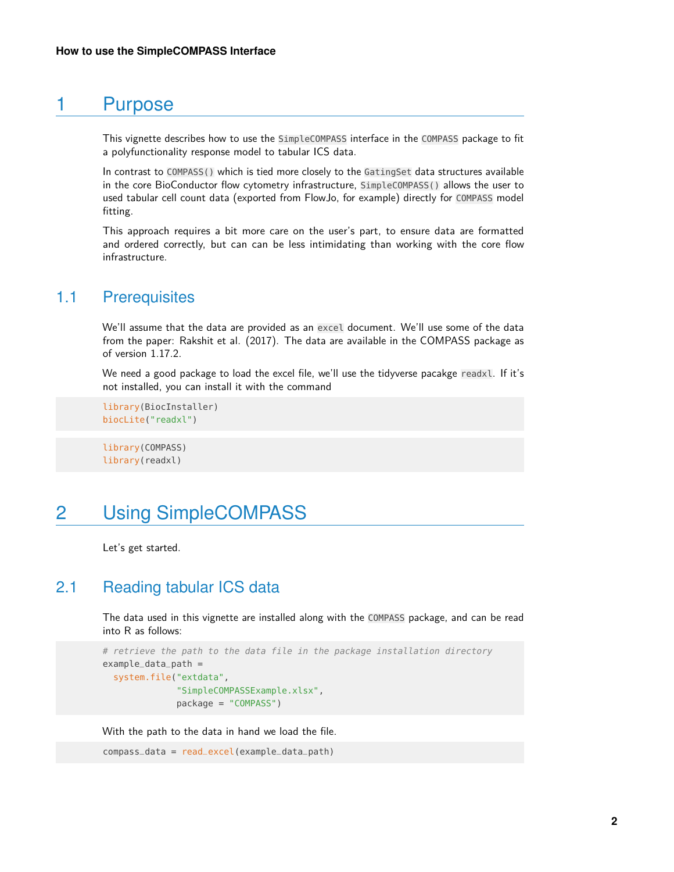## 1 Purpose

<span id="page-1-0"></span>This vignette describes how to use the SimpleCOMPASS interface in the COMPASS package to fit a polyfunctionality response model to tabular ICS data.

In contrast to COMPASS() which is tied more closely to the GatingSet data structures available in the core BioConductor flow cytometry infrastructure, SimpleCOMPASS() allows the user to used tabular cell count data (exported from FlowJo, for example) directly for COMPASS model fitting.

<span id="page-1-1"></span>This approach requires a bit more care on the user's part, to ensure data are formatted and ordered correctly, but can can be less intimidating than working with the core flow infrastructure.

### 1.1 Prerequisites

We'll assume that the data are provided as an excel document. We'll use some of the data from the paper: Rakshit et al. (2017). The data are available in the COMPASS package as of version 1.17.2.

We need a good package to load the excel file, we'll use the tidyverse pacakge readxl. If it's not installed, you can install it with the command

```
library(BiocInstaller)
biocLite("readxl")
```
<span id="page-1-2"></span>library(COMPASS) library(readxl)

## 2 Using SimpleCOMPASS

<span id="page-1-3"></span>Let's get started.

### 2.1 Reading tabular ICS data

The data used in this vignette are installed along with the COMPASS package, and can be read into R as follows:

```
# retrieve the path to the data file in the package installation directory
example_data_path =
  system.file("extdata",
              "SimpleCOMPASSExample.xlsx",
              package = "COMPASS")
```
With the path to the data in hand we load the file.

<span id="page-1-4"></span>compass\_data = read\_excel(example\_data\_path)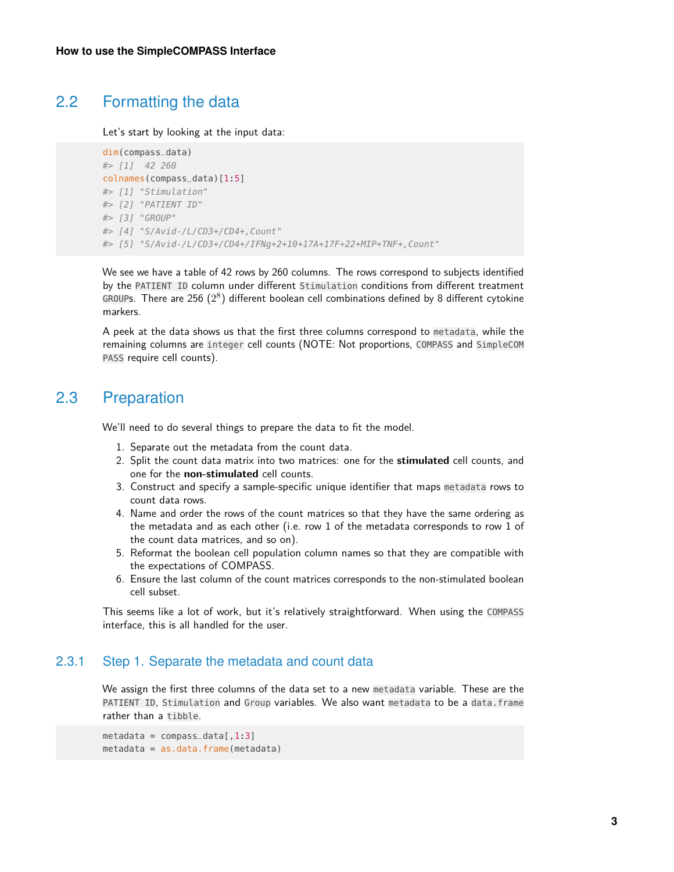## 2.2 Formatting the data

Let's start by looking at the input data:

```
dim(compass_data)
#> [1] 42 260
colnames(compass_data)[1:5]
#> [1] "Stimulation"
#> [2] "PATIENT ID"
#> [3] "GROUP"
#> [4] "S/Avid-/L/CD3+/CD4+,Count"
#> [5] "S/Avid-/L/CD3+/CD4+/IFNg+2+10+17A+17F+22+MIP+TNF+,Count"
```
We see we have a table of 42 rows by 260 columns. The rows correspond to subjects identified by the PATIENT ID column under different Stimulation conditions from different treatment GROUPs. There are 256  $(2^8)$  different boolean cell combinations defined by 8 different cytokine markers.

<span id="page-2-0"></span>A peek at the data shows us that the first three columns correspond to metadata, while the remaining columns are integer cell counts (NOTE: Not proportions, COMPASS and SimpleCOM PASS require cell counts).

## 2.3 Preparation

We'll need to do several things to prepare the data to fit the model.

- 1. Separate out the metadata from the count data.
- 2. Split the count data matrix into two matrices: one for the **stimulated** cell counts, and one for the **non-stimulated** cell counts.
- 3. Construct and specify a sample-specific unique identifier that maps metadata rows to count data rows.
- 4. Name and order the rows of the count matrices so that they have the same ordering as the metadata and as each other (i.e. row 1 of the metadata corresponds to row 1 of the count data matrices, and so on).
- 5. Reformat the boolean cell population column names so that they are compatible with the expectations of COMPASS.
- 6. Ensure the last column of the count matrices corresponds to the non-stimulated boolean cell subset.

This seems like a lot of work, but it's relatively straightforward. When using the COMPASS interface, this is all handled for the user.

#### 2.3.1 Step 1. Separate the metadata and count data

We assign the first three columns of the data set to a new metadata variable. These are the PATIENT ID, Stimulation and Group variables. We also want metadata to be a data.frame rather than a tibble.

```
metadata = compass_data[, 1:3]
metadata = as.data.frame(metadata)
```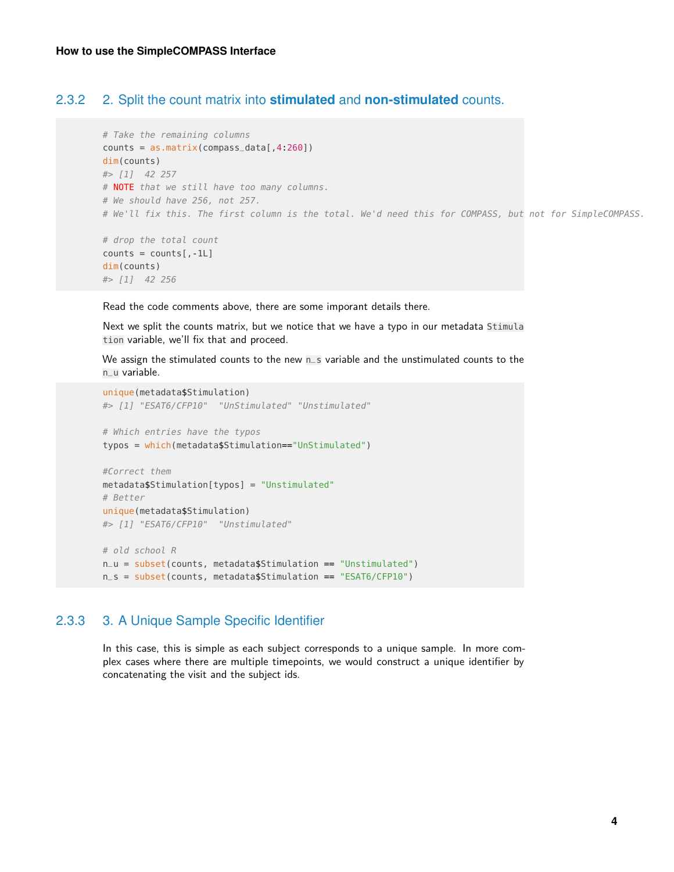#### 2.3.2 2. Split the count matrix into **stimulated** and **non-stimulated** counts.

```
# Take the remaining columns
counts = as_matrix(compass_data[, 4.260])dim(counts)
#> [1] 42 257
# NOTE that we still have too many columns.
# We should have 256, not 257.
# We'll fix this. The first column is the total. We'd need this for COMPASS, but not for SimpleCOMPASS.
# drop the total count
```

```
counts = counts[, -1L]dim(counts)
#> [1] 42 256
```
Read the code comments above, there are some imporant details there.

Next we split the counts matrix, but we notice that we have a typo in our metadata Stimula tion variable, we'll fix that and proceed.

We assign the stimulated counts to the new n\_s variable and the unstimulated counts to the n\_u variable.

```
unique(metadata$Stimulation)
#> [1] "ESAT6/CFP10" "UnStimulated" "Unstimulated"
# Which entries have the typos
typos = which(metadata$Stimulation=="UnStimulated")
#Correct them
metadata$Stimulation[typos] = "Unstimulated"
# Better
unique(metadata$Stimulation)
#> [1] "ESAT6/CFP10" "Unstimulated"
# old school R
n_u = subset(counts, metadata$Stimulation == "Unstimulated")
n_s = subset(counts, metadata$Stimulation == "ESAT6/CFP10")
```
#### 2.3.3 3. A Unique Sample Specific Identifier

In this case, this is simple as each subject corresponds to a unique sample. In more complex cases where there are multiple timepoints, we would construct a unique identifier by concatenating the visit and the subject ids.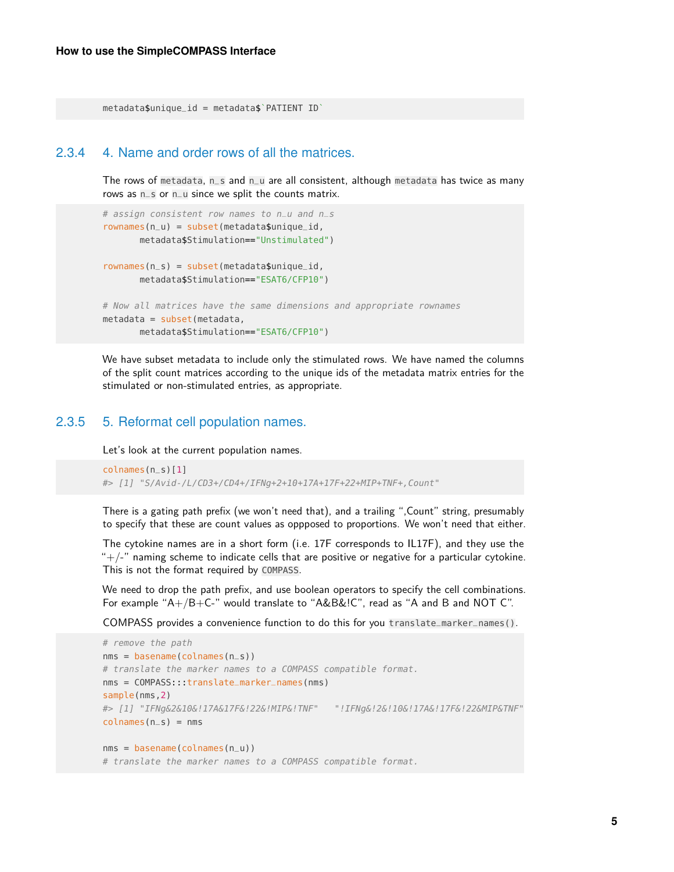metadata\$unique\_id = metadata\$`PATIENT ID`

#### 2.3.4 4. Name and order rows of all the matrices.

The rows of metadata, n\_s and n\_u are all consistent, although metadata has twice as many rows as n\_s or n\_u since we split the counts matrix.

```
# assign consistent row names to n_u and n_s
rownames(n_u) = subset(metadata$unique_id,metadata$Stimulation=="Unstimulated")
rownames(n_s) = subset(metadata$unique_id,metadata$Stimulation=="ESAT6/CFP10")
# Now all matrices have the same dimensions and appropriate rownames
metadata = subset(metadata,
       metadata$Stimulation=="ESAT6/CFP10")
```
We have subset metadata to include only the stimulated rows. We have named the columns of the split count matrices according to the unique ids of the metadata matrix entries for the stimulated or non-stimulated entries, as appropriate.

#### 2.3.5 5. Reformat cell population names.

Let's look at the current population names.

```
colnames(n_s)[1]
#> [1] "S/Avid-/L/CD3+/CD4+/IFNg+2+10+17A+17F+22+MIP+TNF+,Count"
```
There is a gating path prefix (we won't need that), and a trailing ",Count" string, presumably to specify that these are count values as oppposed to proportions. We won't need that either.

The cytokine names are in a short form (i.e. 17F corresponds to IL17F), and they use the  $+/-$ " naming scheme to indicate cells that are positive or negative for a particular cytokine. This is not the format required by COMPASS.

We need to drop the path prefix, and use boolean operators to specify the cell combinations. For example "A+/B+C-" would translate to "A&B&!C", read as "A and B and NOT C".

COMPASS provides a convenience function to do this for you translate\_marker\_names().

```
# remove the path
nms = basename(colnames(n_s))
# translate the marker names to a COMPASS compatible format.
nms = COMPASS:::translate_marker_names(nms)
sample(nms,2)
#> [1] "IFNg&2&10&!17A&17F&!22&!MIP&!TNF" "!IFNg&!2&!10&!17A&!17F&!22&MIP&TNF"
colnames(n_s) = nmsnms = basename(colnames(n_u))
# translate the marker names to a COMPASS compatible format.
```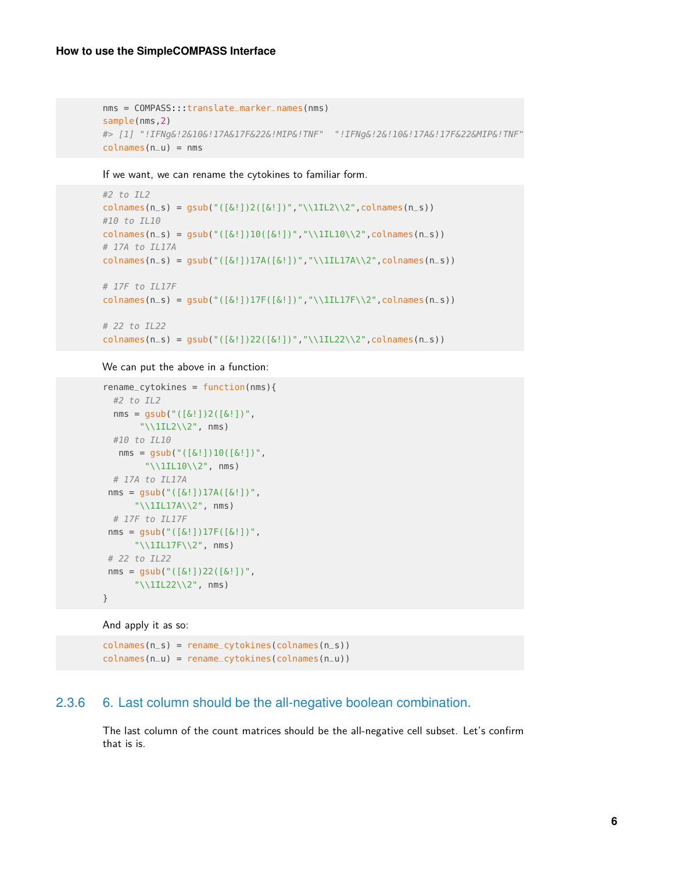```
nms = COMPASS:::translate_marker_names(nms)
sample(nms,2)
#> [1] "!IFNg&!2&10&!17A&17F&22&!MIP&!TNF" "!IFNg&!2&!10&!17A&!17F&22&MIP&!TNF"
colnames(n_u) = nms
```
If we want, we can rename the cytokines to familiar form.

```
#2 to IL2
colnames(n_s) = gsub("([&!])2([&!])","\\1IL2\\2",colnames(n_s))
#10 to IL10
colnames(n_s) = gsub("([&!]])10([&!])"", "\11L10\\2", colnames(n_s))# 17A to IL17A
colnames(n_s) = gsub("([&!])17A([&!])","\\1IL17A\\2",colnames(n_s))
# 17F to IL17F
colnames(n_s) = gsub("([&!])17F([&!])","\\1IL17F\\2",colnames(n_s))
# 22 to IL22
colnames(n_s) = gsub("([&!])22([&!])","\\1IL22\\2",colnames(n_s))
```
We can put the above in a function:

```
rename_cytokines = function(nms){
 #2 to IL2
 nms = gsub("([&!]')2([&!]')","\11L2\12", nms)
 #10 to IL10
  nms = gsub("([&!]])10([&!]")","\\1IL10\\2", nms)
 # 17A to IL17A
 nms = gsub("([\&[])]7A([\&[])",
      "\\1IL17A\\2", nms)
 # 17F to IL17F
 nms = gsub("([&!] )17F([&!] )""\\1IL17F\\2", nms)
# 22 to IL22
nms = gsub("([&:])22([&:])","\\\1IL22\\2", nms)}
```

```
And apply it as so:
```
colnames(n\_s) = rename\_cytokines(colnames(n\_s)) colnames(n\_u) = rename\_cytokines(colnames(n\_u))

#### 2.3.6 6. Last column should be the all-negative boolean combination.

The last column of the count matrices should be the all-negative cell subset. Let's confirm that is is.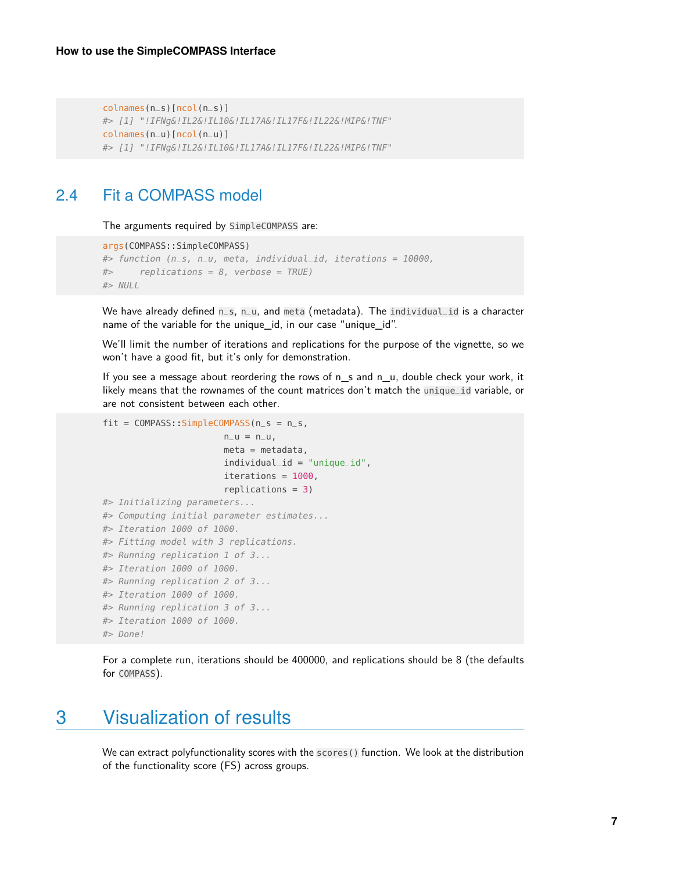```
colnames(n_s)[ncol(n_s)]
#> [1] "!IFNg&!IL2&!IL10&!IL17A&!IL17F&!IL22&!MIP&!TNF"
colnames(n_u)[ncol(n_u)]
#> [1] "!IFNg&!IL2&!IL10&!IL17A&!IL17F&!IL22&!MIP&!TNF"
```
## <span id="page-6-0"></span>2.4 Fit a COMPASS model

The arguments required by SimpleCOMPASS are:

```
args(COMPASS::SimpleCOMPASS)
#> function (n_s, n_u, meta, individual_id, iterations = 10000,
#> replications = 8, verbose = TRUE)
#> NULL
```
We have already defined n\_s, n\_u, and meta (metadata). The individual\_id is a character name of the variable for the unique\_id, in our case "unique\_id".

We'll limit the number of iterations and replications for the purpose of the vignette, so we won't have a good fit, but it's only for demonstration.

If you see a message about reordering the rows of n s and n u, double check your work, it likely means that the rownames of the count matrices don't match the unique\_id variable, or are not consistent between each other.

```
fit = COMPASS::SimpleCOMPASS(n_s = n_s,
                       n_{-}u = n_{-}u,
                       meta = metadata,
                       indivial_id = "unique_id",iterations = 1000,
                       replications = 3)#> Initializing parameters...
#> Computing initial parameter estimates...
#> Iteration 1000 of 1000.
#> Fitting model with 3 replications.
#> Running replication 1 of 3...
#> Iteration 1000 of 1000.
#> Running replication 2 of 3...
#> Iteration 1000 of 1000.
#> Running replication 3 of 3...
#> Iteration 1000 of 1000.
#> Done!
```
<span id="page-6-1"></span>For a complete run, iterations should be 400000, and replications should be 8 (the defaults for COMPASS).

## 3 Visualization of results

We can extract polyfunctionality scores with the scores () function. We look at the distribution of the functionality score (FS) across groups.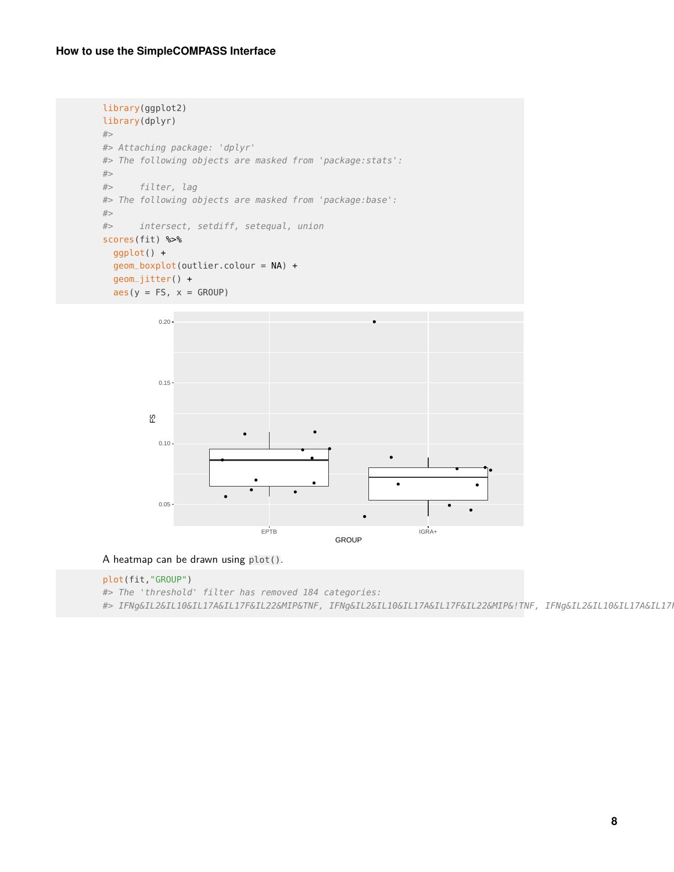```
library(ggplot2)
library(dplyr)
#>
#> Attaching package: 'dplyr'
#> The following objects are masked from 'package:stats':
#>
#> filter, lag
#> The following objects are masked from 'package:base':
#>
#> intersect, setdiff, setequal, union
scores(fit) %>%
 ggplot() +
  geom_boxplot(outlier.colour = NA) +
  geom_jitter() +
  \text{aes}(y = FS, x = GROUP)0.20 -\bullet0.15 -FS
           0.10 -\bullet
```
A heatmap can be drawn using plot().

#### plot(fit,"GROUP")

 $0.05 -$ 

#> The 'threshold' filter has removed 184 categories:

#> IFNg&IL2&IL10&IL17A&IL17F&IL22&MIP&TNF, IFNg&IL2&IL10&IL17A&IL17F&IL22&MIP&!TNF, IFNg&IL2&IL10&IL17A&IL17I

EPTB IGRA+ GROUP